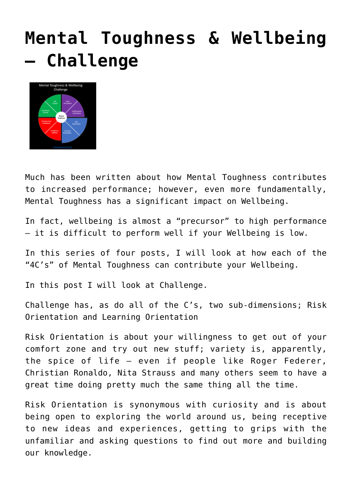## **[Mental Toughness & Wellbeing](http://boblarcher.com/mental-toughness/mental-toughness-wellbeing-challenge/) [– Challenge](http://boblarcher.com/mental-toughness/mental-toughness-wellbeing-challenge/)**



Much has been written about how Mental Toughness contributes to increased performance; however, even more fundamentally, Mental Toughness has a significant impact on Wellbeing.

In fact, wellbeing is almost a "precursor" to high performance – it is difficult to perform well if your Wellbeing is low.

In this series of four posts, I will look at how each of the "4C's" of Mental Toughness can contribute your Wellbeing.

In this post I will look at Challenge.

Challenge has, as do all of the C's, two sub-dimensions; Risk Orientation and Learning Orientation

Risk Orientation is about your willingness to get out of your comfort zone and try out new stuff; variety is, apparently, the spice of life – even if people like Roger Federer, Christian Ronaldo, Nita Strauss and many others seem to have a great time doing pretty much the same thing all the time.

Risk Orientation is synonymous with curiosity and is about being open to exploring the world around us, being receptive to new ideas and experiences, getting to grips with the unfamiliar and asking questions to find out more and building our knowledge.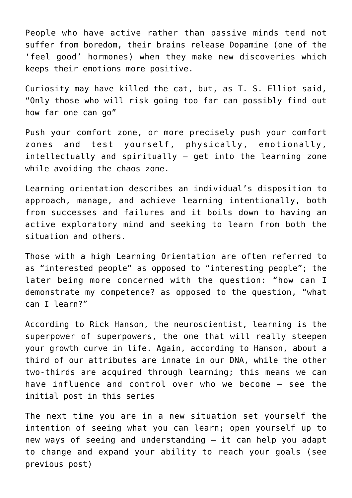People who have active rather than passive minds tend not suffer from boredom, their brains release Dopamine (one of the 'feel good' hormones) when they make new discoveries which keeps their emotions more positive.

Curiosity may have killed the cat, but, as T. S. Elliot said, "Only those who will risk going too far can possibly find out how far one can go"

Push your comfort zone, or more precisely push your comfort zones and test yourself, physically, emotionally, intellectually and spiritually – get into the learning zone while avoiding the chaos zone.

Learning orientation describes an individual's disposition to approach, manage, and achieve learning intentionally, both from successes and failures and it boils down to having an active exploratory mind and seeking to learn from both the situation and others.

Those with a high Learning Orientation are often referred to as "interested people" as opposed to "interesting people"; the later being more concerned with the question: "how can I demonstrate my competence? as opposed to the question, "what can I learn?"

According to Rick Hanson, the neuroscientist, learning is the superpower of superpowers, the one that will really steepen your growth curve in life. Again, according to Hanson, about a third of our attributes are innate in our DNA, while the other two-thirds are acquired through learning; this means we can have influence and control over who we become – see the initial post in this series

The next time you are in a new situation set yourself the intention of seeing what you can learn; open yourself up to new ways of seeing and understanding – it can help you adapt to change and expand your ability to reach your goals (see previous post)